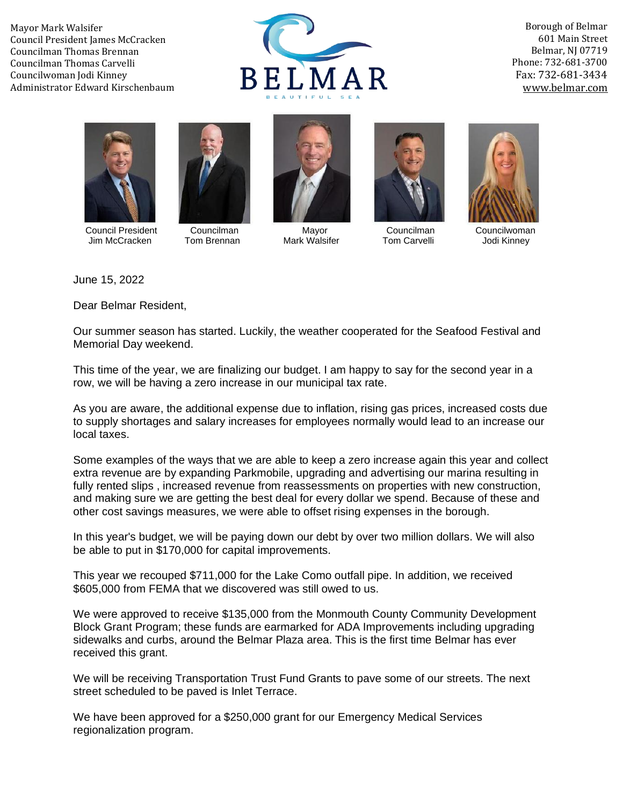Mayor Mark Walsifer Council President James McCracken Councilman Thomas Brennan Councilman Thomas Carvelli Councilwoman Jodi Kinney Administrator Edward Kirschenbaum



Borough of Belmar 601 Main Street Belmar, NJ 07719 Phone: 732-681-3700 Fax: 732-681-3434 [www.belmar.com](http://www.belmar.com/)





 Council President Councilman Mayor Councilman Councilwoman Jim McCracken







June 15, 2022

Dear Belmar Resident,

Our summer season has started. Luckily, the weather cooperated for the Seafood Festival and Memorial Day weekend.

This time of the year, we are finalizing our budget. I am happy to say for the second year in a row, we will be having a zero increase in our municipal tax rate.

As you are aware, the additional expense due to inflation, rising gas prices, increased costs due to supply shortages and salary increases for employees normally would lead to an increase our local taxes.

Some examples of the ways that we are able to keep a zero increase again this year and collect extra revenue are by expanding Parkmobile, upgrading and advertising our marina resulting in fully rented slips, increased revenue from reassessments on properties with new construction, and making sure we are getting the best deal for every dollar we spend. Because of these and other cost savings measures, we were able to offset rising expenses in the borough.

In this year's budget, we will be paying down our debt by over two million dollars. We will also be able to put in \$170,000 for capital improvements.

This year we recouped \$711,000 for the Lake Como outfall pipe. In addition, we received \$605,000 from FEMA that we discovered was still owed to us.

We were approved to receive \$135,000 from the Monmouth County Community Development Block Grant Program; these funds are earmarked for ADA Improvements including upgrading sidewalks and curbs, around the Belmar Plaza area. This is the first time Belmar has ever received this grant.

We will be receiving Transportation Trust Fund Grants to pave some of our streets. The next street scheduled to be paved is Inlet Terrace.

We have been approved for a \$250,000 grant for our Emergency Medical Services regionalization program.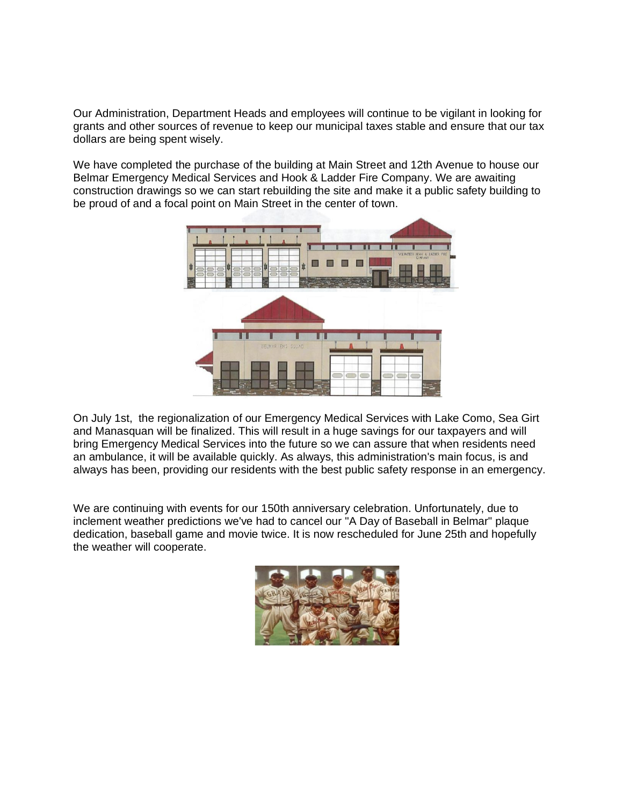Our Administration, Department Heads and employees will continue to be vigilant in looking for grants and other sources of revenue to keep our municipal taxes stable and ensure that our tax dollars are being spent wisely.

We have completed the purchase of the building at Main Street and 12th Avenue to house our Belmar Emergency Medical Services and Hook & Ladder Fire Company. We are awaiting construction drawings so we can start rebuilding the site and make it a public safety building to be proud of and a focal point on Main Street in the center of town.



On July 1st, the regionalization of our Emergency Medical Services with Lake Como, Sea Girt and Manasquan will be finalized. This will result in a huge savings for our taxpayers and will bring Emergency Medical Services into the future so we can assure that when residents need an ambulance, it will be available quickly. As always, this administration's main focus, is and always has been, providing our residents with the best public safety response in an emergency.

We are continuing with events for our 150th anniversary celebration. Unfortunately, due to inclement weather predictions we've had to cancel our "A Day of Baseball in Belmar" plaque dedication, baseball game and movie twice. It is now rescheduled for June 25th and hopefully the weather will cooperate.

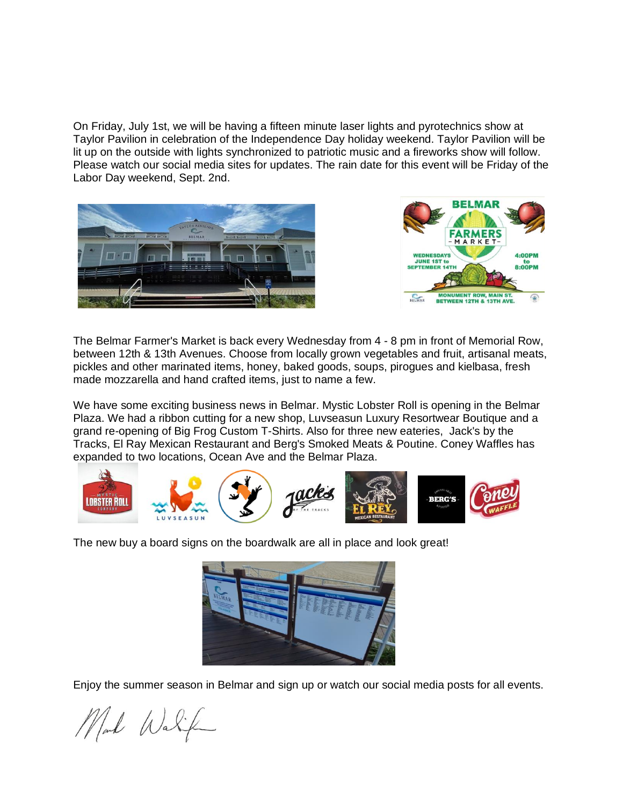On Friday, July 1st, we will be having a fifteen minute laser lights and pyrotechnics show at Taylor Pavilion in celebration of the Independence Day holiday weekend. Taylor Pavilion will be lit up on the outside with lights synchronized to patriotic music and a fireworks show will follow. Please watch our social media sites for updates. The rain date for this event will be Friday of the Labor Day weekend, Sept. 2nd.





The Belmar Farmer's Market is back every Wednesday from 4 - 8 pm in front of Memorial Row, between 12th & 13th Avenues. Choose from locally grown vegetables and fruit, artisanal meats, pickles and other marinated items, honey, baked goods, soups, pirogues and kielbasa, fresh made mozzarella and hand crafted items, just to name a few.

We have some exciting business news in Belmar. Mystic Lobster Roll is opening in the Belmar Plaza. We had a ribbon cutting for a new shop, Luvseasun Luxury Resortwear Boutique and a grand re-opening of Big Frog Custom T-Shirts. Also for three new eateries, Jack's by the Tracks, El Ray Mexican Restaurant and Berg's Smoked Meats & Poutine. Coney Waffles has expanded to two locations, Ocean Ave and the Belmar Plaza.



The new buy a board signs on the boardwalk are all in place and look great!



Enjoy the summer season in Belmar and sign up or watch our social media posts for all events.

Mal Walif